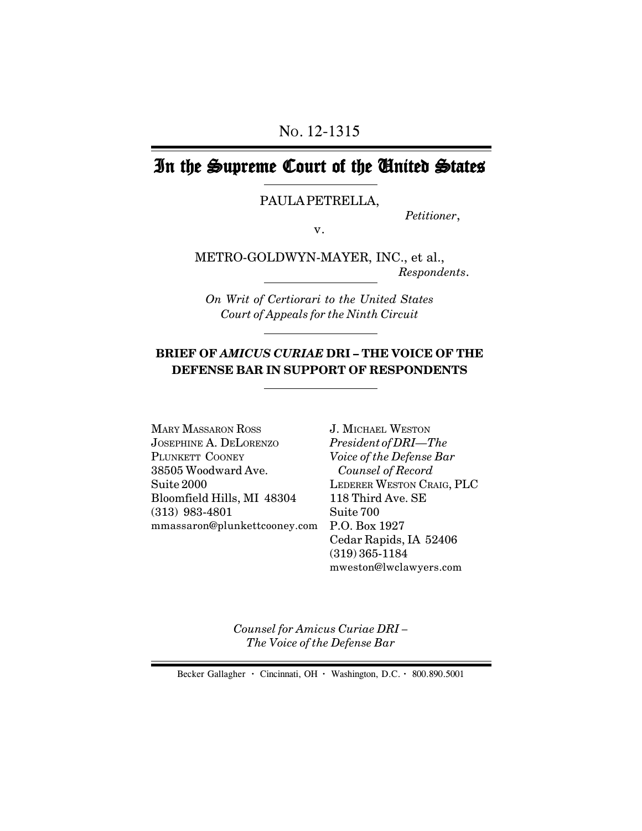# In the Supreme Court of the United States

PAULA PETRELLA,

*Petitioner*,

v.

METRO-GOLDWYN-MAYER, INC., et al., *Respondents*.

*On Writ of Certiorari to the United States Court of Appeals for the Ninth Circuit*

#### **BRIEF OF** *AMICUS CURIAE* **DRI – THE VOICE OF THE DEFENSE BAR IN SUPPORT OF RESPONDENTS**

mmassaron@plunkettcooney.com P.O. Box 1927 MARY MASSARON ROSS JOSEPHINE A. DELORENZO PLUNKETT COONEY 38505 Woodward Ave. Suite 2000 Bloomfield Hills, MI 48304 (313) 983-4801

J. MICHAEL WESTON *President of DRI—The Voice of the Defense Bar Counsel of Record* LEDERER WESTON CRAIG, PLC 118 Third Ave. SE Suite 700 Cedar Rapids, IA 52406 (319) 365-1184 mweston@lwclawyers.com

*Counsel for Amicus Curiae DRI – The Voice of the Defense Bar*

Becker Gallagher **·** Cincinnati, OH **·** Washington, D.C. **·** 800.890.5001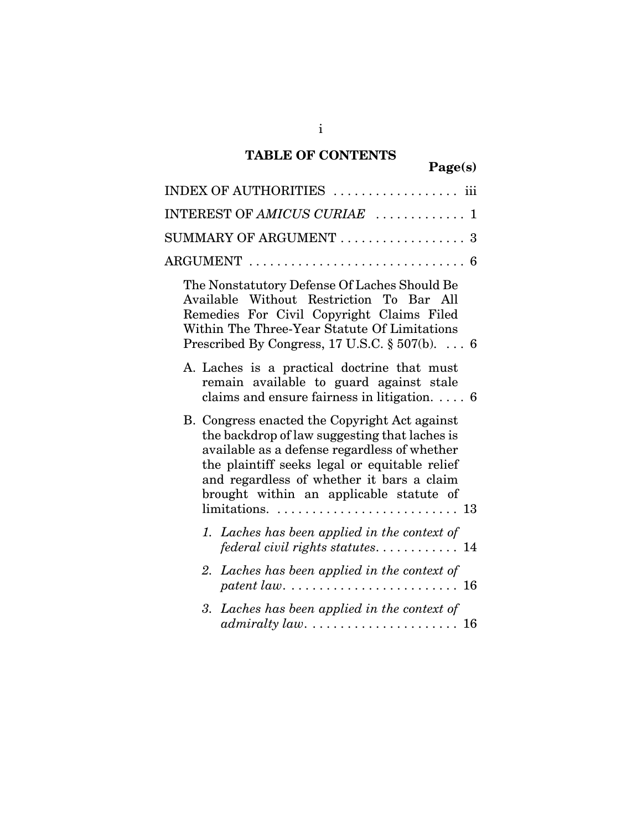## **TABLE OF CONTENTS**

| igel.<br>S l<br>э |
|-------------------|
|-------------------|

| $\rm{INDEX}$ OF $\rm{AUTHORITIES}$ $\ldots \ldots \ldots \ldots \ldots$ iii                                                                                                                                                                                                                                                                                                 |
|-----------------------------------------------------------------------------------------------------------------------------------------------------------------------------------------------------------------------------------------------------------------------------------------------------------------------------------------------------------------------------|
| $\texttt{INTEREST} \texttt{OF} \textit{AMICUS} \textit{CURL} \texttt{} \ldots \ldots \ldots \texttt{1}$                                                                                                                                                                                                                                                                     |
| SUMMARY OF ARGUMENT  3                                                                                                                                                                                                                                                                                                                                                      |
| $\text{ARGUMENT}\ \dots\dots\dots\dots\dots\dots\dots\dots\dots\dots\ 6$                                                                                                                                                                                                                                                                                                    |
| The Nonstatutory Defense Of Laches Should Be<br>Available Without Restriction To Bar All<br>Remedies For Civil Copyright Claims Filed<br>Within The Three-Year Statute Of Limitations<br>Prescribed By Congress, 17 U.S.C. $\S 507(b)$ . 6                                                                                                                                  |
| A. Laches is a practical doctrine that must<br>remain available to guard against stale<br>claims and ensure fairness in litigation. $\ldots$ 6                                                                                                                                                                                                                              |
| B. Congress enacted the Copyright Act against<br>the backdrop of law suggesting that laches is<br>available as a defense regardless of whether<br>the plaintiff seeks legal or equitable relief<br>and regardless of whether it bars a claim<br>brought within an applicable statute of<br>$\text{limitations.} \dots \dots \dots \dots \dots \dots \dots \dots \dots \ 13$ |
| 1. Laches has been applied in the context of<br>federal civil rights statutes 14                                                                                                                                                                                                                                                                                            |
| 2. Laches has been applied in the context of                                                                                                                                                                                                                                                                                                                                |
| Laches has been applied in the context of<br>3.                                                                                                                                                                                                                                                                                                                             |
|                                                                                                                                                                                                                                                                                                                                                                             |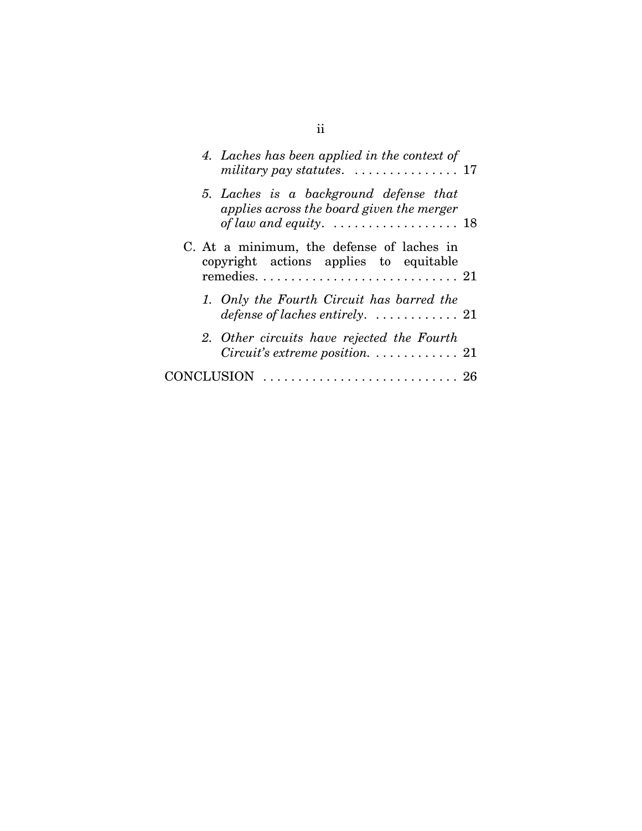| 4. Laches has been applied in the context of<br>military pay statutes. $\dots \dots \dots \dots \dots \dots 17$                                   |  |
|---------------------------------------------------------------------------------------------------------------------------------------------------|--|
| 5. Laches is a background defense that<br>applies across the board given the merger<br>of law and equity. $\ldots \ldots \ldots \ldots \ldots 18$ |  |
| C. At a minimum, the defense of laches in<br>copyright actions applies to equitable                                                               |  |
| 1. Only the Fourth Circuit has barred the<br>defense of laches entirely. $\ldots \ldots \ldots \ldots 21$                                         |  |
| 2. Other circuits have rejected the Fourth<br><i>Circuit's extreme position.</i> $\ldots \ldots \ldots \ldots 21$                                 |  |
|                                                                                                                                                   |  |

ii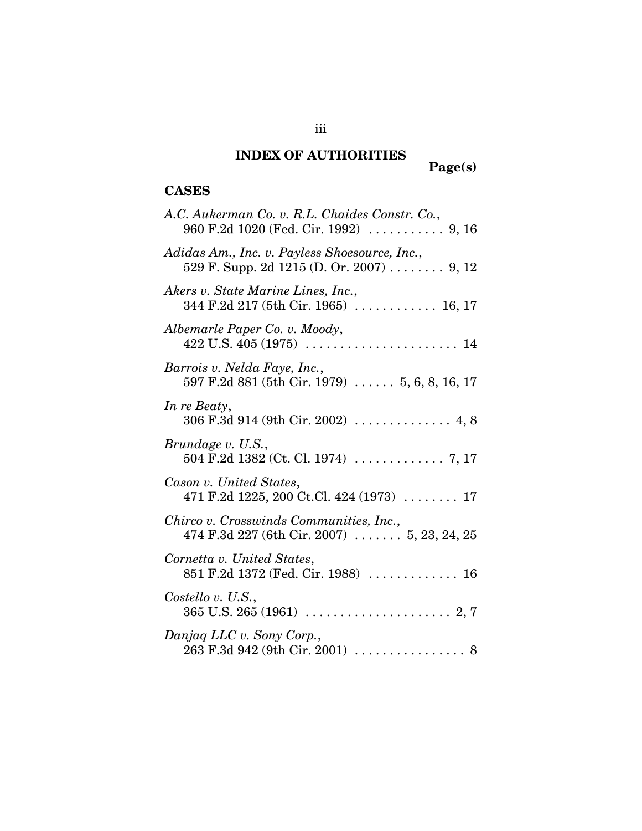## **INDEX OF AUTHORITIES**

# **Page(s)**

### **CASES**

| A.C. Aukerman Co. v. R.L. Chaides Constr. Co.,                                                        |
|-------------------------------------------------------------------------------------------------------|
| Adidas Am., Inc. v. Payless Shoesource, Inc.,<br>529 F. Supp. 2d 1215 (D. Or. 2007) 9, 12             |
| Akers v. State Marine Lines, Inc.,<br>344 F.2d 217 (5th Cir. 1965)  16, 17                            |
| Albemarle Paper Co. v. Moody,                                                                         |
| Barrois v. Nelda Faye, Inc.,<br>597 F.2d 881 (5th Cir. 1979) $\ldots$ 5, 6, 8, 16, 17                 |
| In re Beaty,                                                                                          |
| Brundage v. U.S.,                                                                                     |
| Cason v. United States,<br>471 F.2d 1225, 200 Ct.Cl. 424 (1973)  17                                   |
| Chirco v. Crosswinds Communities, Inc.,<br>474 F.3d 227 (6th Cir. 2007) $\ldots \ldots 5, 23, 24, 25$ |
| Cornetta v. United States,                                                                            |
| Costello v. U.S.,                                                                                     |
| Danjag LLC v. Sony Corp.,<br>$263$ F.3d 942 (9th Cir. 2001) 8                                         |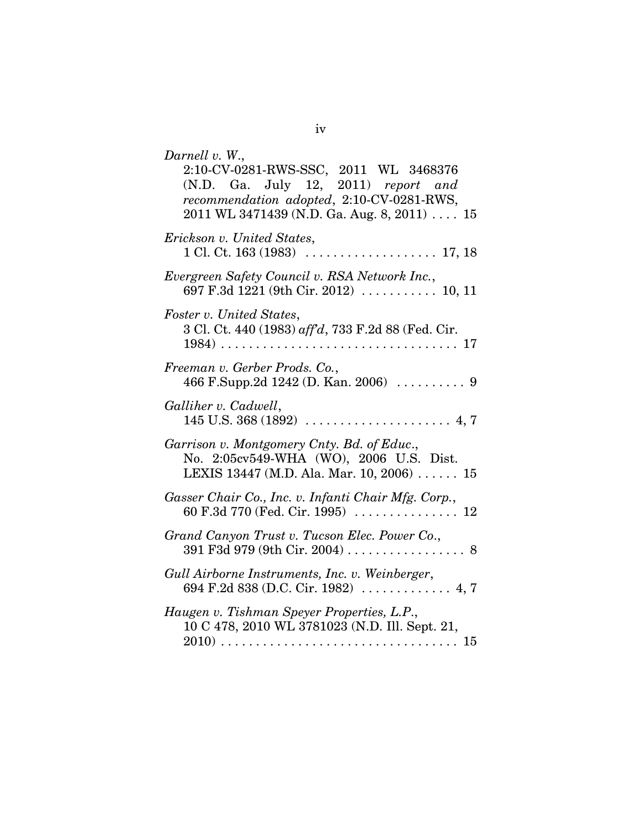| Darnell v. W.,<br>2:10-CV-0281-RWS-SSC, 2011 WL 3468376<br>(N.D. Ga. July 12, 2011) report and<br>recommendation adopted, 2:10-CV-0281-RWS,<br>$2011$ WL 3471439 (N.D. Ga. Aug. 8, 2011)  15 |
|----------------------------------------------------------------------------------------------------------------------------------------------------------------------------------------------|
| Erickson v. United States,                                                                                                                                                                   |
| Evergreen Safety Council v. RSA Network Inc.,<br>697 F.3d 1221 (9th Cir. 2012) $\ldots \ldots \ldots 10, 11$                                                                                 |
| Foster v. United States,<br>3 Cl. Ct. 440 (1983) aff'd, 733 F.2d 88 (Fed. Cir.                                                                                                               |
| Freeman v. Gerber Prods. Co.,                                                                                                                                                                |
| Galliher v. Cadwell,                                                                                                                                                                         |
| Garrison v. Montgomery Cnty. Bd. of Educ.,<br>No. 2:05cv549-WHA (WO), 2006 U.S. Dist.<br>LEXIS 13447 (M.D. Ala. Mar. 10, 2006)  15                                                           |
| Gasser Chair Co., Inc. v. Infanti Chair Mfg. Corp.,                                                                                                                                          |
| Grand Canyon Trust v. Tucson Elec. Power Co.,                                                                                                                                                |
| Gull Airborne Instruments, Inc. v. Weinberger,                                                                                                                                               |
| Haugen v. Tishman Speyer Properties, L.P.,<br>10 C 478, 2010 WL 3781023 (N.D. Ill. Sept. 21,                                                                                                 |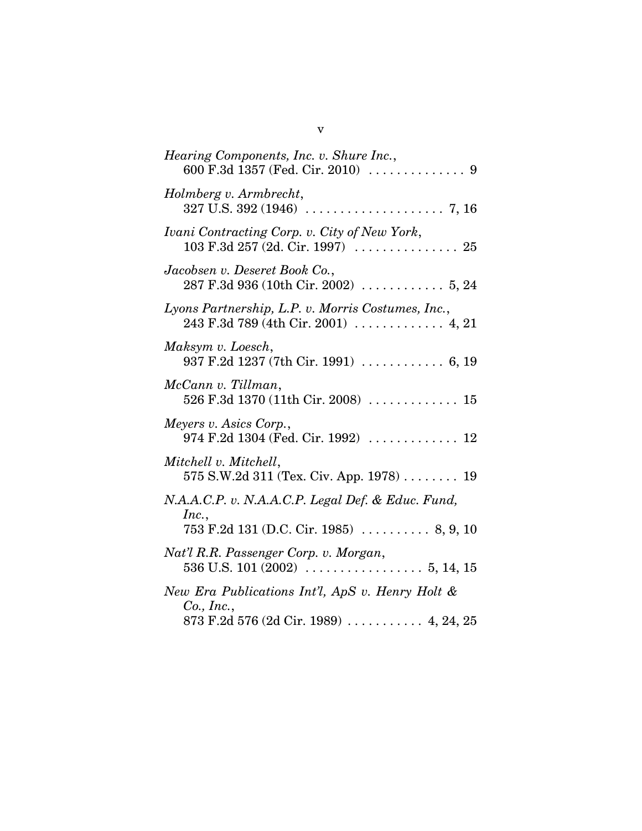| <i>Hearing Components, Inc. v. Shure Inc.,</i>                                                                                                                                                           |
|----------------------------------------------------------------------------------------------------------------------------------------------------------------------------------------------------------|
| Holmberg v. Armbrecht,                                                                                                                                                                                   |
| Ivani Contracting Corp. v. City of New York,<br>$103 \text{ F}.3d \text{ } 257 \text{ } (2d. \text{ Cir. } 1997) \text{ } \dots \dots \dots \dots \dots \dots \dots \dots \dots \dots \dots \dots \dots$ |
| Jacobsen v. Deseret Book Co.,                                                                                                                                                                            |
| Lyons Partnership, L.P. v. Morris Costumes, Inc.,<br>243 F.3d 789 (4th Cir. 2001) $\ldots \ldots \ldots$ 4, 21                                                                                           |
| Maksym v. Loesch,<br>937 F.2d 1237 (7th Cir. 1991)  6, 19                                                                                                                                                |
| McCann v. Tillman,<br>526 F.3d 1370 (11th Cir. 2008)  15                                                                                                                                                 |
| Meyers v. Asics Corp.,<br>974 F.2d 1304 (Fed. Cir. 1992) $\ldots \ldots \ldots \ldots 12$                                                                                                                |
| Mitchell v. Mitchell,<br>$575$ S.W.2d 311 (Tex. Civ. App. 1978)  19                                                                                                                                      |
| N.A.A.C.P. v. N.A.A.C.P. Legal Def. & Educ. Fund,<br>Inc.,<br>$753$ F.2d 131 (D.C. Cir. 1985)  8, 9, 10                                                                                                  |
| Nat'l R.R. Passenger Corp. v. Morgan,                                                                                                                                                                    |
| New Era Publications Int'l, ApS v. Henry Holt &<br>$Co.$ , Inc.,<br>873 F.2d 576 (2d Cir. 1989)  4, 24, 25                                                                                               |

v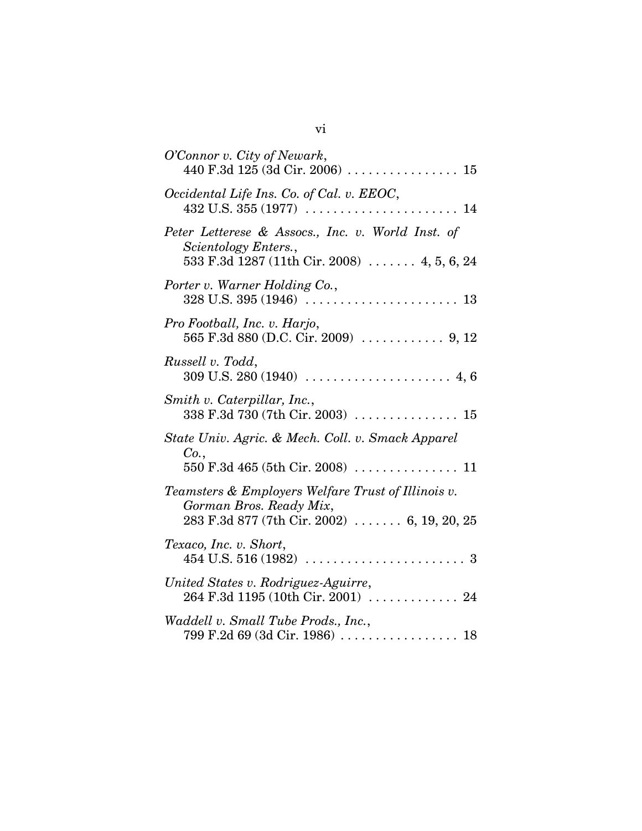| O'Connor v. City of Newark,<br>440 F.3d 125 (3d Cir. 2006)  15                                                                                                    |
|-------------------------------------------------------------------------------------------------------------------------------------------------------------------|
| Occidental Life Ins. Co. of Cal. v. EEOC,                                                                                                                         |
| Peter Letterese & Assocs., Inc. v. World Inst. of<br>Scientology Enters.,<br>533 F.3d 1287 (11th Cir. 2008)  4, 5, 6, 24                                          |
| Porter v. Warner Holding Co.,                                                                                                                                     |
| Pro Football, Inc. v. Harjo,                                                                                                                                      |
| Russell v. Todd,                                                                                                                                                  |
| Smith v. Caterpillar, Inc.,<br>338 F.3d 730 (7th Cir. 2003)  15                                                                                                   |
| State Univ. Agric. & Mech. Coll. v. Smack Apparel<br>Co.,                                                                                                         |
| Teamsters & Employers Welfare Trust of Illinois v.<br>Gorman Bros. Ready Mix,<br>$283$ F.3d $877$ (7th Cir. 2002)  6, 19, 20, 25                                  |
| Texaco, Inc. v. Short,                                                                                                                                            |
| United States v. Rodriguez-Aguirre,<br>264 F.3d 1195 (10th Cir. 2001)  24                                                                                         |
| Waddell v. Small Tube Prods., Inc.,<br>$799 \text{ F}.2d \text{ }69 \text{ } (3d \text{ Cir. } 1986) \text{ } \dots \dots \dots \dots \dots \dots \dots \dots 18$ |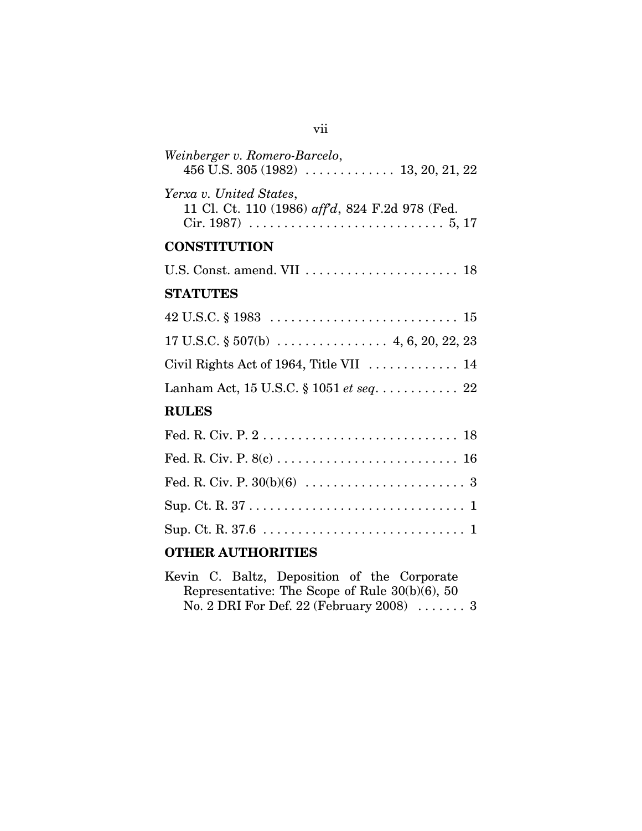| Weinberger v. Romero-Barcelo,                                                                        |
|------------------------------------------------------------------------------------------------------|
| Yerxa v. United States,<br>11 Cl. Ct. 110 (1986) aff'd, 824 F.2d 978 (Fed.                           |
| <b>CONSTITUTION</b>                                                                                  |
| U.S. Const. amend. VII  18                                                                           |
| <b>STATUTES</b>                                                                                      |
| $42 \text{ U.S.C.} \$ $1983 \ldots \ldots \ldots \ldots \ldots \ldots \ldots \ldots \ldots \quad 15$ |
|                                                                                                      |
| Civil Rights Act of 1964, Title VII  14                                                              |
|                                                                                                      |
| <b>RULES</b>                                                                                         |
|                                                                                                      |
|                                                                                                      |
|                                                                                                      |
|                                                                                                      |
|                                                                                                      |
|                                                                                                      |

### **OTHER AUTHORITIES**

|  | Kevin C. Baltz, Deposition of the Corporate       |  |  |
|--|---------------------------------------------------|--|--|
|  | Representative: The Scope of Rule $30(b)(6)$ , 50 |  |  |
|  | No. 2 DRI For Def. 22 (February 2008) $\ldots$ 3  |  |  |

## vii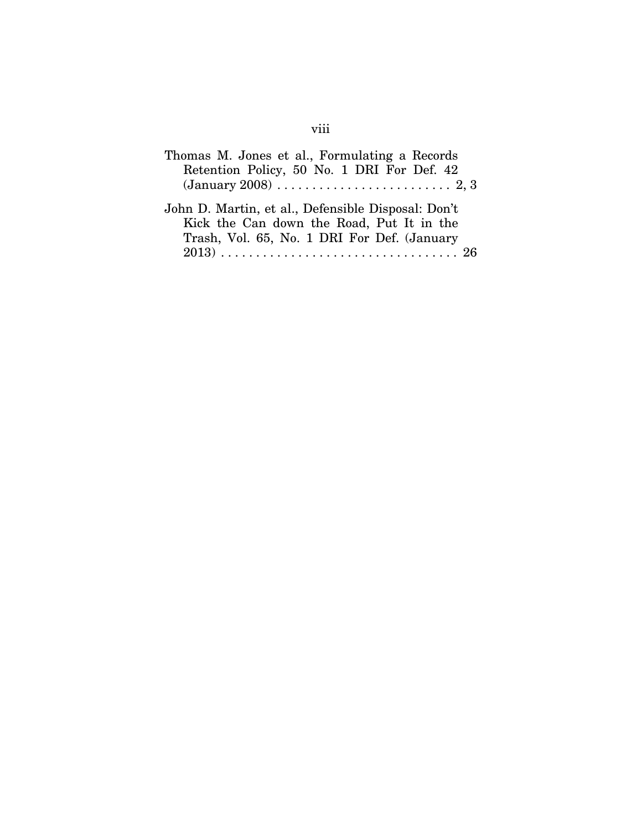| Thomas M. Jones et al., Formulating a Records      |
|----------------------------------------------------|
| Retention Policy, 50 No. 1 DRI For Def. 42         |
|                                                    |
| John D. Martin, et al., Defensible Disposal: Don't |
| Kick the Can down the Road, Put It in the          |
| Trash, Vol. 65, No. 1 DRI For Def. (January        |
|                                                    |

## viii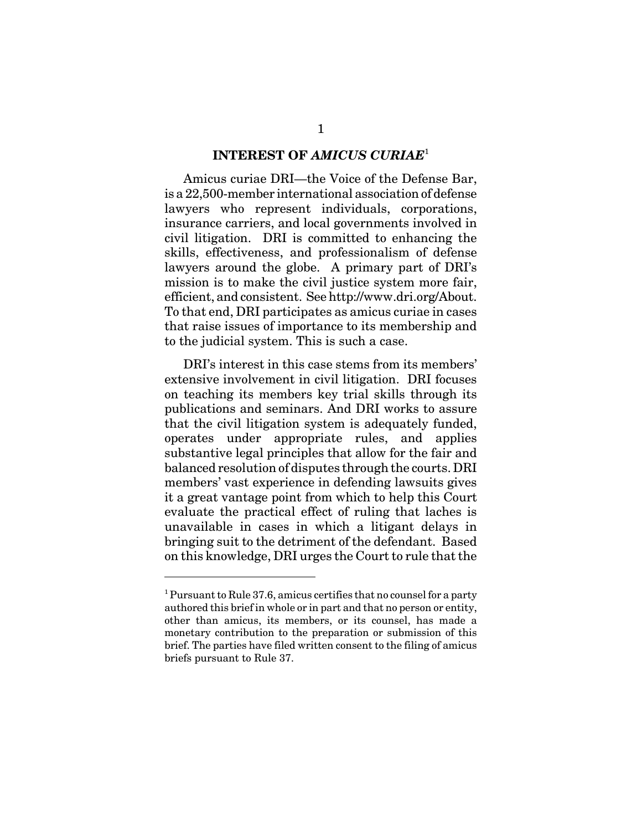#### **INTEREST OF** *AMICUS CURIAE*<sup>1</sup>

Amicus curiae DRI—the Voice of the Defense Bar, is a 22,500-member international association of defense lawyers who represent individuals, corporations, insurance carriers, and local governments involved in civil litigation. DRI is committed to enhancing the skills, effectiveness, and professionalism of defense lawyers around the globe. A primary part of DRI's mission is to make the civil justice system more fair, efficient, and consistent. See http://www.dri.org/About. To that end, DRI participates as amicus curiae in cases that raise issues of importance to its membership and to the judicial system. This is such a case.

DRI's interest in this case stems from its members' extensive involvement in civil litigation. DRI focuses on teaching its members key trial skills through its publications and seminars. And DRI works to assure that the civil litigation system is adequately funded, operates under appropriate rules, and applies substantive legal principles that allow for the fair and balanced resolution of disputes through the courts. DRI members' vast experience in defending lawsuits gives it a great vantage point from which to help this Court evaluate the practical effect of ruling that laches is unavailable in cases in which a litigant delays in bringing suit to the detriment of the defendant. Based on this knowledge, DRI urges the Court to rule that the

<sup>&</sup>lt;sup>1</sup> Pursuant to Rule 37.6, amicus certifies that no counsel for a party authored this brief in whole or in part and that no person or entity, other than amicus, its members, or its counsel, has made a monetary contribution to the preparation or submission of this brief. The parties have filed written consent to the filing of amicus briefs pursuant to Rule 37.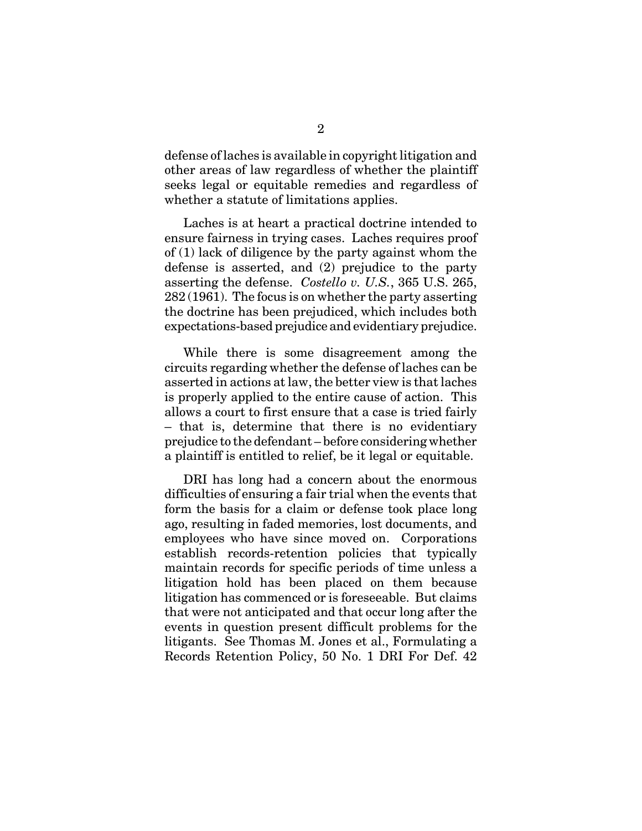defense of laches is available in copyright litigation and other areas of law regardless of whether the plaintiff seeks legal or equitable remedies and regardless of whether a statute of limitations applies.

Laches is at heart a practical doctrine intended to ensure fairness in trying cases. Laches requires proof of (1) lack of diligence by the party against whom the defense is asserted, and (2) prejudice to the party asserting the defense. *Costello v. U.S.*, 365 U.S. 265, 282 (1961). The focus is on whether the party asserting the doctrine has been prejudiced, which includes both expectations-based prejudice and evidentiary prejudice.

While there is some disagreement among the circuits regarding whether the defense of laches can be asserted in actions at law, the better view is that laches is properly applied to the entire cause of action. This allows a court to first ensure that a case is tried fairly – that is, determine that there is no evidentiary prejudice to the defendant – before considering whether a plaintiff is entitled to relief, be it legal or equitable.

DRI has long had a concern about the enormous difficulties of ensuring a fair trial when the events that form the basis for a claim or defense took place long ago, resulting in faded memories, lost documents, and employees who have since moved on. Corporations establish records-retention policies that typically maintain records for specific periods of time unless a litigation hold has been placed on them because litigation has commenced or is foreseeable. But claims that were not anticipated and that occur long after the events in question present difficult problems for the litigants. See Thomas M. Jones et al., Formulating a Records Retention Policy, 50 No. 1 DRI For Def. 42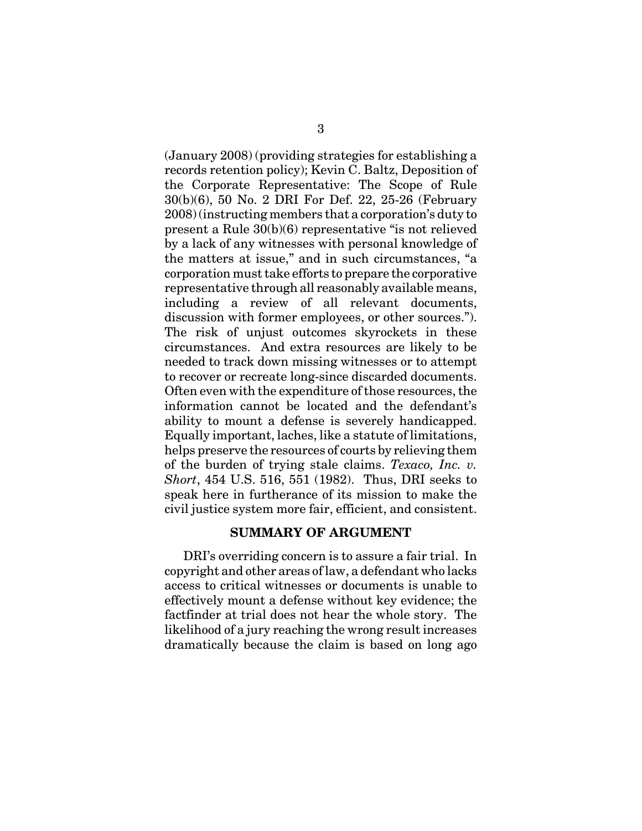(January 2008) (providing strategies for establishing a records retention policy); Kevin C. Baltz, Deposition of the Corporate Representative: The Scope of Rule 30(b)(6), 50 No. 2 DRI For Def. 22, 25-26 (February 2008) (instructing members that a corporation's duty to present a Rule 30(b)(6) representative "is not relieved by a lack of any witnesses with personal knowledge of the matters at issue," and in such circumstances, "a corporation must take efforts to prepare the corporative representative through all reasonably available means, including a review of all relevant documents, discussion with former employees, or other sources."). The risk of unjust outcomes skyrockets in these circumstances. And extra resources are likely to be needed to track down missing witnesses or to attempt to recover or recreate long-since discarded documents. Often even with the expenditure of those resources, the information cannot be located and the defendant's ability to mount a defense is severely handicapped. Equally important, laches, like a statute of limitations, helps preserve the resources of courts by relieving them of the burden of trying stale claims. *Texaco, Inc. v. Short*, 454 U.S. 516, 551 (1982). Thus, DRI seeks to speak here in furtherance of its mission to make the civil justice system more fair, efficient, and consistent.

#### **SUMMARY OF ARGUMENT**

DRI's overriding concern is to assure a fair trial. In copyright and other areas of law, a defendant who lacks access to critical witnesses or documents is unable to effectively mount a defense without key evidence; the factfinder at trial does not hear the whole story. The likelihood of a jury reaching the wrong result increases dramatically because the claim is based on long ago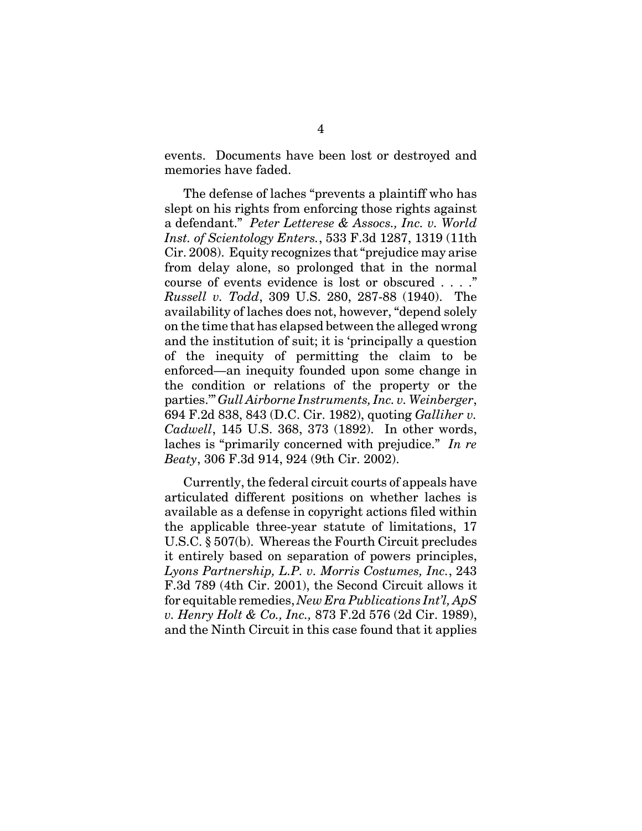events. Documents have been lost or destroyed and memories have faded.

The defense of laches "prevents a plaintiff who has slept on his rights from enforcing those rights against a defendant." *Peter Letterese & Assocs., Inc. v. World Inst. of Scientology Enters.*, 533 F.3d 1287, 1319 (11th Cir. 2008). Equity recognizes that "prejudice may arise from delay alone, so prolonged that in the normal course of events evidence is lost or obscured . . . ." *Russell v. Todd*, 309 U.S. 280, 287-88 (1940). The availability of laches does not, however, "depend solely on the time that has elapsed between the alleged wrong and the institution of suit; it is 'principally a question of the inequity of permitting the claim to be enforced—an inequity founded upon some change in the condition or relations of the property or the parties.'" *Gull Airborne Instruments, Inc. v. Weinberger*, 694 F.2d 838, 843 (D.C. Cir. 1982), quoting *Galliher v. Cadwell*, 145 U.S. 368, 373 (1892). In other words, laches is "primarily concerned with prejudice." *In re Beaty*, 306 F.3d 914, 924 (9th Cir. 2002).

Currently, the federal circuit courts of appeals have articulated different positions on whether laches is available as a defense in copyright actions filed within the applicable three-year statute of limitations, 17 U.S.C. § 507(b). Whereas the Fourth Circuit precludes it entirely based on separation of powers principles, *Lyons Partnership, L.P. v. Morris Costumes, Inc.*, 243 F.3d 789 (4th Cir. 2001), the Second Circuit allows it for equitable remedies, *New Era Publications Int'l, ApS v. Henry Holt & Co., Inc.,* 873 F.2d 576 (2d Cir. 1989), and the Ninth Circuit in this case found that it applies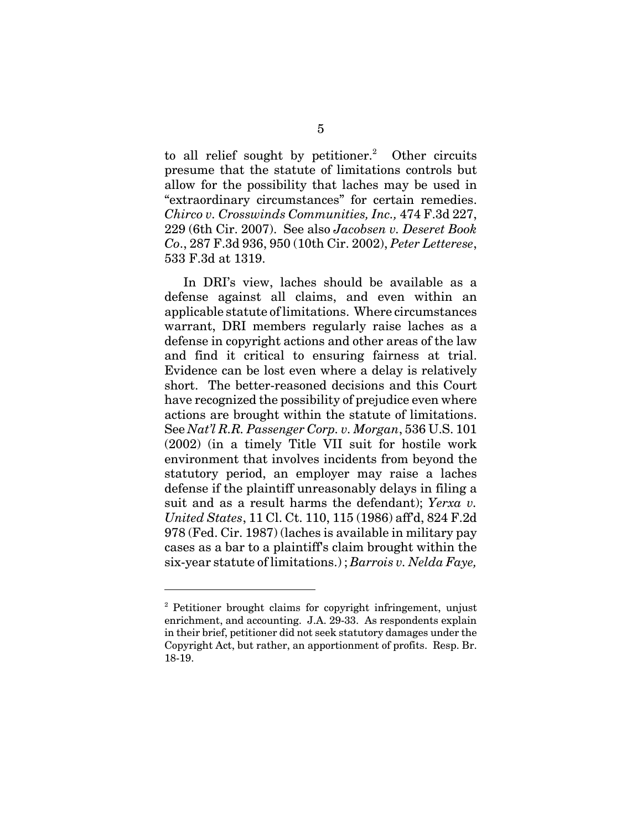to all relief sought by petitioner.<sup>2</sup> Other circuits presume that the statute of limitations controls but allow for the possibility that laches may be used in "extraordinary circumstances" for certain remedies. *Chirco v. Crosswinds Communities, Inc.,* 474 F.3d 227, 229 (6th Cir. 2007). See also *Jacobsen v. Deseret Book Co*., 287 F.3d 936, 950 (10th Cir. 2002), *Peter Letterese*, 533 F.3d at 1319.

In DRI's view, laches should be available as a defense against all claims, and even within an applicable statute of limitations. Where circumstances warrant, DRI members regularly raise laches as a defense in copyright actions and other areas of the law and find it critical to ensuring fairness at trial. Evidence can be lost even where a delay is relatively short. The better-reasoned decisions and this Court have recognized the possibility of prejudice even where actions are brought within the statute of limitations. See *Nat'l R.R. Passenger Corp. v. Morgan*, 536 U.S. 101 (2002) (in a timely Title VII suit for hostile work environment that involves incidents from beyond the statutory period, an employer may raise a laches defense if the plaintiff unreasonably delays in filing a suit and as a result harms the defendant); *Yerxa v. United States*, 11 Cl. Ct. 110, 115 (1986) aff'd, 824 F.2d 978 (Fed. Cir. 1987) (laches is available in military pay cases as a bar to a plaintiff's claim brought within the six-year statute of limitations.) ; *Barrois v. Nelda Faye,*

<sup>&</sup>lt;sup>2</sup> Petitioner brought claims for copyright infringement, unjust enrichment, and accounting. J.A. 29-33. As respondents explain in their brief, petitioner did not seek statutory damages under the Copyright Act, but rather, an apportionment of profits. Resp. Br. 18-19.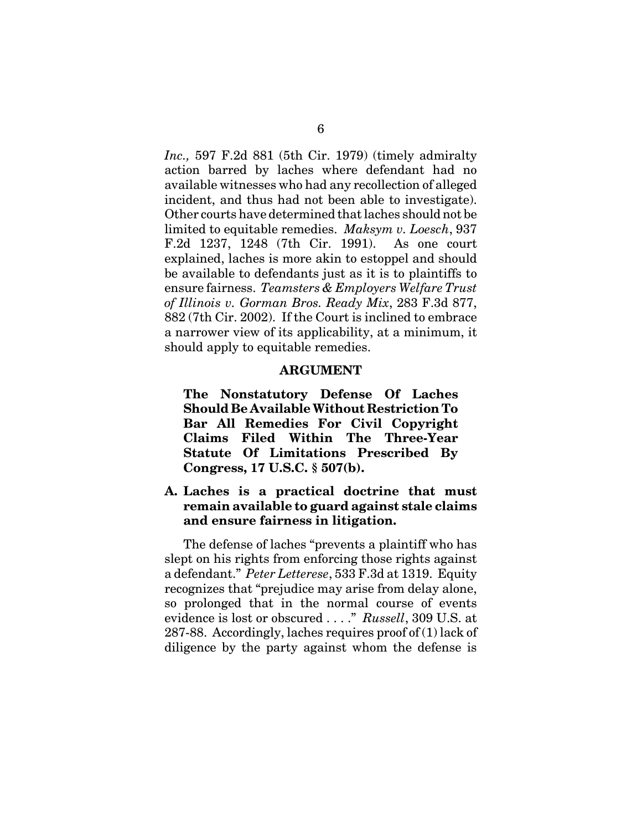*Inc.,* 597 F.2d 881 (5th Cir. 1979) (timely admiralty action barred by laches where defendant had no available witnesses who had any recollection of alleged incident, and thus had not been able to investigate). Other courts have determined that laches should not be limited to equitable remedies. *Maksym v. Loesch*, 937 F.2d 1237, 1248 (7th Cir. 1991). As one court explained, laches is more akin to estoppel and should be available to defendants just as it is to plaintiffs to ensure fairness. *Teamsters & Employers Welfare Trust of Illinois v. Gorman Bros. Ready Mix*, 283 F.3d 877, 882 (7th Cir. 2002). If the Court is inclined to embrace a narrower view of its applicability, at a minimum, it should apply to equitable remedies.

#### **ARGUMENT**

**The Nonstatutory Defense Of Laches Should Be Available Without Restriction To Bar All Remedies For Civil Copyright Claims Filed Within The Three-Year Statute Of Limitations Prescribed By Congress, 17 U.S.C. § 507(b).** 

**A. Laches is a practical doctrine that must remain available to guard against stale claims and ensure fairness in litigation.** 

The defense of laches "prevents a plaintiff who has slept on his rights from enforcing those rights against a defendant." *Peter Letterese*, 533 F.3d at 1319. Equity recognizes that "prejudice may arise from delay alone, so prolonged that in the normal course of events evidence is lost or obscured . . . ." *Russell*, 309 U.S. at 287-88. Accordingly, laches requires proof of (1) lack of diligence by the party against whom the defense is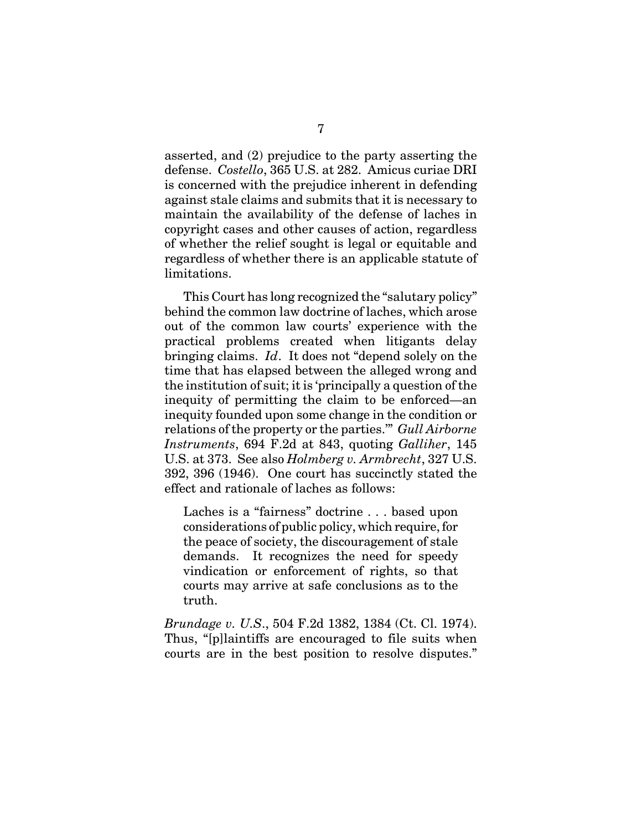asserted, and (2) prejudice to the party asserting the defense. *Costello*, 365 U.S. at 282. Amicus curiae DRI is concerned with the prejudice inherent in defending against stale claims and submits that it is necessary to maintain the availability of the defense of laches in copyright cases and other causes of action, regardless of whether the relief sought is legal or equitable and regardless of whether there is an applicable statute of limitations.

This Court has long recognized the "salutary policy" behind the common law doctrine of laches, which arose out of the common law courts' experience with the practical problems created when litigants delay bringing claims. *Id*. It does not "depend solely on the time that has elapsed between the alleged wrong and the institution of suit; it is 'principally a question of the inequity of permitting the claim to be enforced—an inequity founded upon some change in the condition or relations of the property or the parties.'" *Gull Airborne Instruments*, 694 F.2d at 843, quoting *Galliher*, 145 U.S. at 373. See also *Holmberg v. Armbrecht*, 327 U.S. 392, 396 (1946). One court has succinctly stated the effect and rationale of laches as follows:

Laches is a "fairness" doctrine . . . based upon considerations of public policy, which require, for the peace of society, the discouragement of stale demands. It recognizes the need for speedy vindication or enforcement of rights, so that courts may arrive at safe conclusions as to the truth.

*Brundage v. U.S*., 504 F.2d 1382, 1384 (Ct. Cl. 1974). Thus, "[p]laintiffs are encouraged to file suits when courts are in the best position to resolve disputes."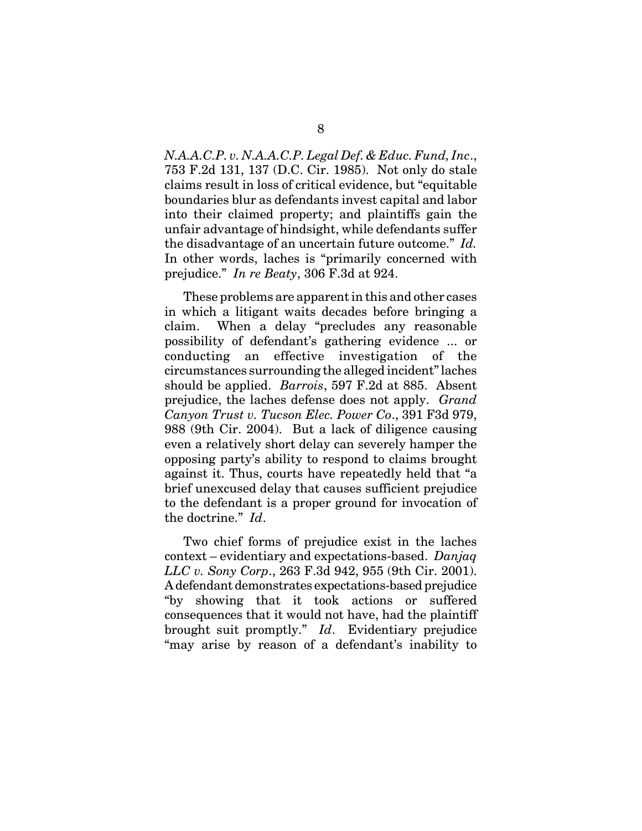*N.A.A.C.P. v. N.A.A.C.P. Legal Def. & Educ. Fund, Inc*., 753 F.2d 131, 137 (D.C. Cir. 1985). Not only do stale claims result in loss of critical evidence, but "equitable boundaries blur as defendants invest capital and labor into their claimed property; and plaintiffs gain the unfair advantage of hindsight, while defendants suffer the disadvantage of an uncertain future outcome." *Id.* In other words, laches is "primarily concerned with prejudice." *In re Beaty*, 306 F.3d at 924.

These problems are apparent in this and other cases in which a litigant waits decades before bringing a claim. When a delay "precludes any reasonable possibility of defendant's gathering evidence ... or conducting an effective investigation of the circumstances surrounding the alleged incident" laches should be applied. *Barrois*, 597 F.2d at 885. Absent prejudice, the laches defense does not apply. *Grand Canyon Trust v. Tucson Elec. Power Co*., 391 F3d 979, 988 (9th Cir. 2004). But a lack of diligence causing even a relatively short delay can severely hamper the opposing party's ability to respond to claims brought against it. Thus, courts have repeatedly held that "a brief unexcused delay that causes sufficient prejudice to the defendant is a proper ground for invocation of the doctrine." *Id*.

Two chief forms of prejudice exist in the laches context – evidentiary and expectations-based. *Danjaq LLC v. Sony Corp*., 263 F.3d 942, 955 (9th Cir. 2001). A defendant demonstrates expectations-based prejudice "by showing that it took actions or suffered consequences that it would not have, had the plaintiff brought suit promptly." *Id*. Evidentiary prejudice "may arise by reason of a defendant's inability to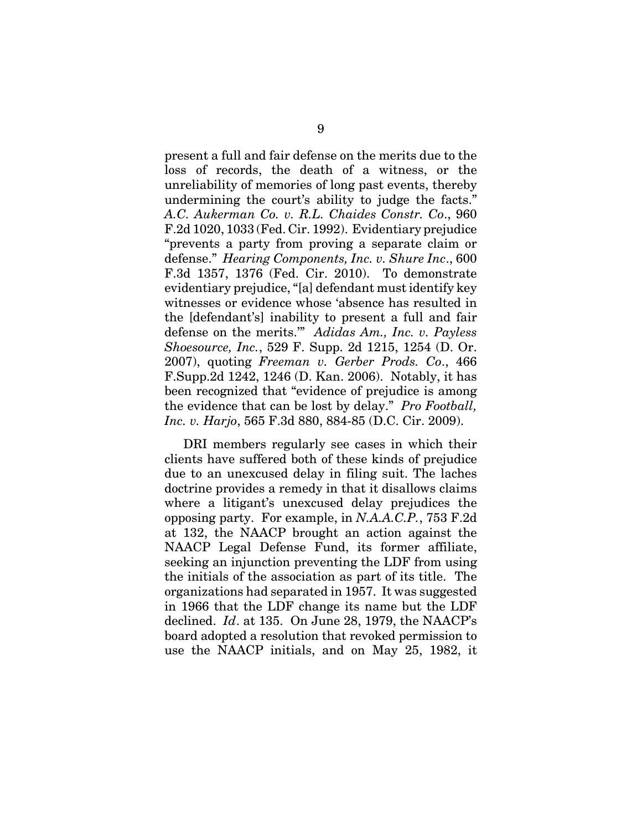present a full and fair defense on the merits due to the loss of records, the death of a witness, or the unreliability of memories of long past events, thereby undermining the court's ability to judge the facts." *A.C. Aukerman Co. v. R.L. Chaides Constr. Co*., 960 F.2d 1020, 1033 (Fed. Cir. 1992). Evidentiary prejudice "prevents a party from proving a separate claim or defense." *Hearing Components, Inc. v. Shure Inc*., 600 F.3d 1357, 1376 (Fed. Cir. 2010). To demonstrate evidentiary prejudice, "[a] defendant must identify key witnesses or evidence whose 'absence has resulted in the [defendant's] inability to present a full and fair defense on the merits.'" *Adidas Am., Inc. v. Payless Shoesource, Inc.*, 529 F. Supp. 2d 1215, 1254 (D. Or. 2007), quoting *Freeman v. Gerber Prods. Co*., 466 F.Supp.2d 1242, 1246 (D. Kan. 2006). Notably, it has been recognized that "evidence of prejudice is among the evidence that can be lost by delay." *Pro Football, Inc. v. Harjo*, 565 F.3d 880, 884-85 (D.C. Cir. 2009).

DRI members regularly see cases in which their clients have suffered both of these kinds of prejudice due to an unexcused delay in filing suit. The laches doctrine provides a remedy in that it disallows claims where a litigant's unexcused delay prejudices the opposing party. For example, in *N.A.A.C.P.*, 753 F.2d at 132, the NAACP brought an action against the NAACP Legal Defense Fund, its former affiliate, seeking an injunction preventing the LDF from using the initials of the association as part of its title. The organizations had separated in 1957. It was suggested in 1966 that the LDF change its name but the LDF declined. *Id*. at 135. On June 28, 1979, the NAACP's board adopted a resolution that revoked permission to use the NAACP initials, and on May 25, 1982, it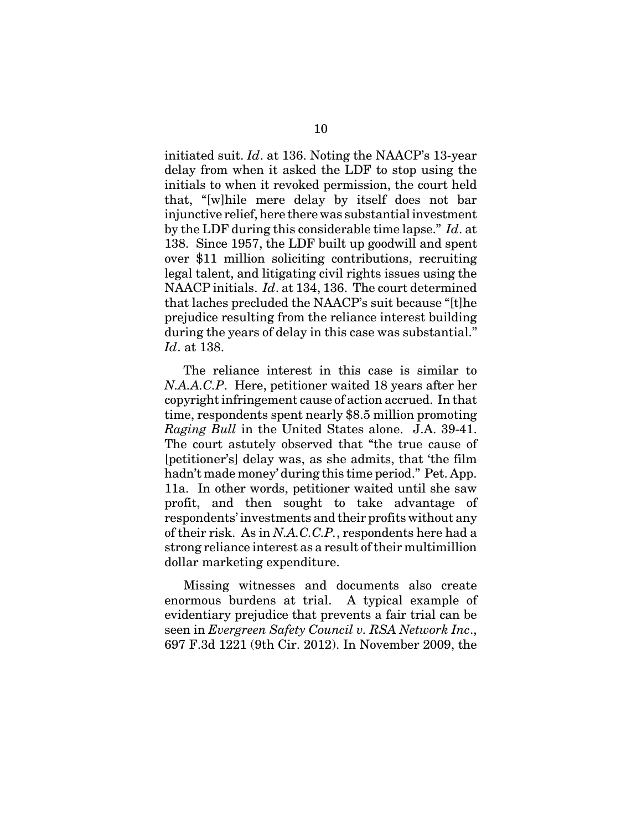initiated suit. *Id*. at 136. Noting the NAACP's 13-year delay from when it asked the LDF to stop using the initials to when it revoked permission, the court held that, "[w]hile mere delay by itself does not bar injunctive relief, here there was substantial investment by the LDF during this considerable time lapse." *Id*. at 138. Since 1957, the LDF built up goodwill and spent over \$11 million soliciting contributions, recruiting legal talent, and litigating civil rights issues using the NAACP initials. *Id*. at 134, 136. The court determined that laches precluded the NAACP's suit because "[t]he prejudice resulting from the reliance interest building during the years of delay in this case was substantial." *Id*. at 138.

The reliance interest in this case is similar to *N.A.A.C.P*. Here, petitioner waited 18 years after her copyright infringement cause of action accrued. In that time, respondents spent nearly \$8.5 million promoting *Raging Bull* in the United States alone. J.A. 39-41. The court astutely observed that "the true cause of [petitioner's] delay was, as she admits, that 'the film hadn't made money' during this time period." Pet. App. 11a. In other words, petitioner waited until she saw profit, and then sought to take advantage of respondents' investments and their profits without any of their risk. As in *N.A.C.C.P.*, respondents here had a strong reliance interest as a result of their multimillion dollar marketing expenditure.

Missing witnesses and documents also create enormous burdens at trial. A typical example of evidentiary prejudice that prevents a fair trial can be seen in *Evergreen Safety Council v. RSA Network Inc*., 697 F.3d 1221 (9th Cir. 2012). In November 2009, the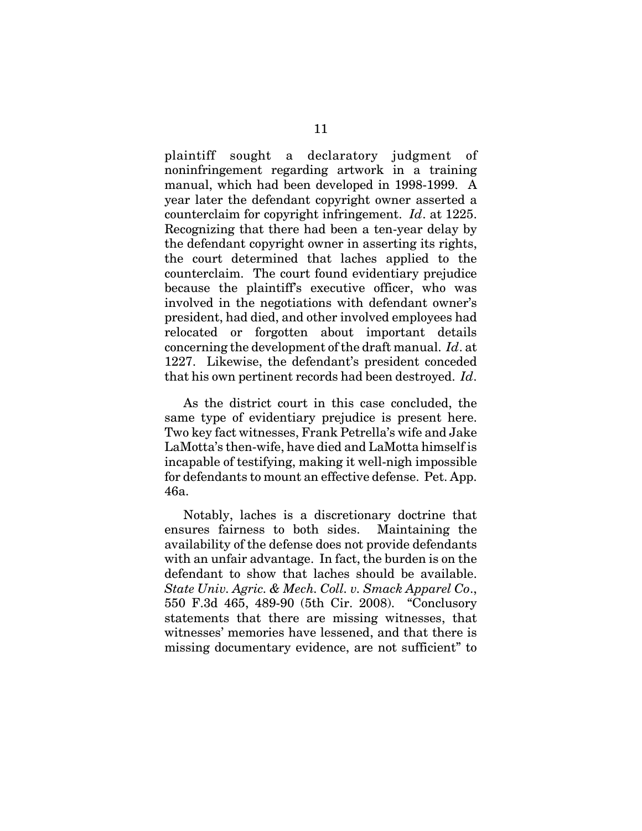plaintiff sought a declaratory judgment of noninfringement regarding artwork in a training manual, which had been developed in 1998-1999. A year later the defendant copyright owner asserted a counterclaim for copyright infringement. *Id*. at 1225. Recognizing that there had been a ten-year delay by the defendant copyright owner in asserting its rights, the court determined that laches applied to the counterclaim. The court found evidentiary prejudice because the plaintiff's executive officer, who was involved in the negotiations with defendant owner's president, had died, and other involved employees had relocated or forgotten about important details concerning the development of the draft manual. *Id*. at 1227. Likewise, the defendant's president conceded that his own pertinent records had been destroyed. *Id*.

As the district court in this case concluded, the same type of evidentiary prejudice is present here. Two key fact witnesses, Frank Petrella's wife and Jake LaMotta's then-wife, have died and LaMotta himself is incapable of testifying, making it well-nigh impossible for defendants to mount an effective defense. Pet. App. 46a.

Notably, laches is a discretionary doctrine that ensures fairness to both sides. Maintaining the availability of the defense does not provide defendants with an unfair advantage. In fact, the burden is on the defendant to show that laches should be available. *State Univ. Agric. & Mech. Coll. v. Smack Apparel Co*., 550 F.3d 465, 489-90 (5th Cir. 2008). "Conclusory statements that there are missing witnesses, that witnesses' memories have lessened, and that there is missing documentary evidence, are not sufficient" to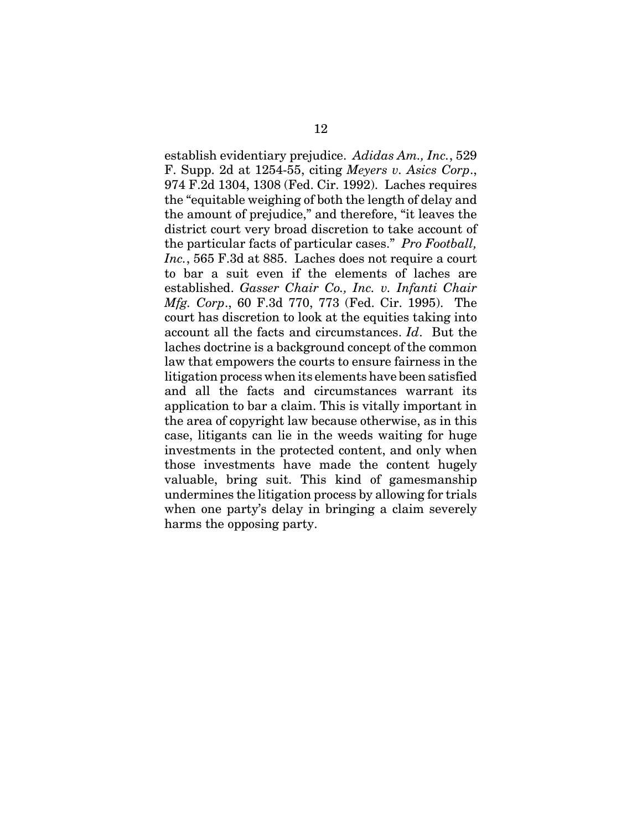establish evidentiary prejudice. *Adidas Am., Inc.*, 529 F. Supp. 2d at 1254-55, citing *Meyers v. Asics Corp*., 974 F.2d 1304, 1308 (Fed. Cir. 1992). Laches requires the "equitable weighing of both the length of delay and the amount of prejudice," and therefore, "it leaves the district court very broad discretion to take account of the particular facts of particular cases." *Pro Football, Inc.*, 565 F.3d at 885. Laches does not require a court to bar a suit even if the elements of laches are established. *Gasser Chair Co., Inc. v. Infanti Chair Mfg. Corp*., 60 F.3d 770, 773 (Fed. Cir. 1995). The court has discretion to look at the equities taking into account all the facts and circumstances. *Id*. But the laches doctrine is a background concept of the common law that empowers the courts to ensure fairness in the litigation process when its elements have been satisfied and all the facts and circumstances warrant its application to bar a claim. This is vitally important in the area of copyright law because otherwise, as in this case, litigants can lie in the weeds waiting for huge investments in the protected content, and only when those investments have made the content hugely valuable, bring suit. This kind of gamesmanship undermines the litigation process by allowing for trials when one party's delay in bringing a claim severely harms the opposing party.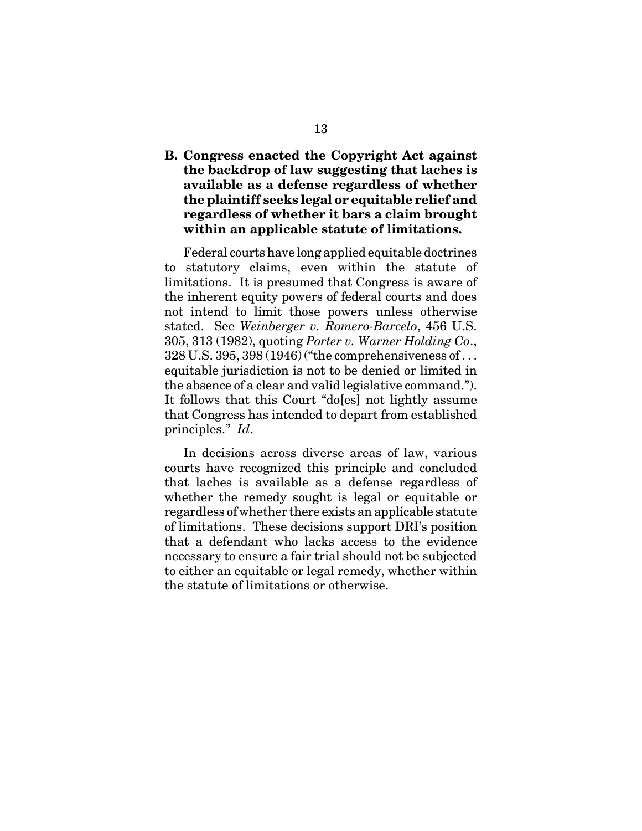**B. Congress enacted the Copyright Act against the backdrop of law suggesting that laches is available as a defense regardless of whether the plaintiff seeks legal or equitable relief and regardless of whether it bars a claim brought within an applicable statute of limitations.**

Federal courts have long applied equitable doctrines to statutory claims, even within the statute of limitations. It is presumed that Congress is aware of the inherent equity powers of federal courts and does not intend to limit those powers unless otherwise stated. See *Weinberger v. Romero-Barcelo*, 456 U.S. 305, 313 (1982), quoting *Porter v. Warner Holding Co*., 328 U.S. 395, 398 (1946) ("the comprehensiveness of . . . equitable jurisdiction is not to be denied or limited in the absence of a clear and valid legislative command."). It follows that this Court "do[es] not lightly assume that Congress has intended to depart from established principles." *Id*.

In decisions across diverse areas of law, various courts have recognized this principle and concluded that laches is available as a defense regardless of whether the remedy sought is legal or equitable or regardless of whether there exists an applicable statute of limitations. These decisions support DRI's position that a defendant who lacks access to the evidence necessary to ensure a fair trial should not be subjected to either an equitable or legal remedy, whether within the statute of limitations or otherwise.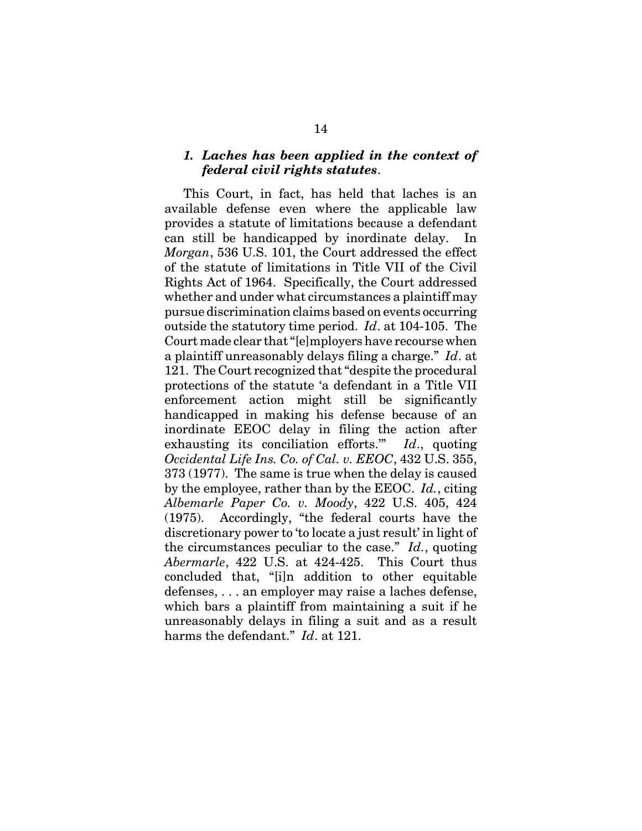#### *1. Laches has been applied in the context of federal civil rights statutes*.

This Court, in fact, has held that laches is an available defense even where the applicable law provides a statute of limitations because a defendant can still be handicapped by inordinate delay. *Morgan*, 536 U.S. 101, the Court addressed the effect of the statute of limitations in Title VII of the Civil Rights Act of 1964. Specifically, the Court addressed whether and under what circumstances a plaintiff may pursue discrimination claims based on events occurring outside the statutory time period. *Id*. at 104-105. The Court made clear that "[e]mployers have recourse when a plaintiff unreasonably delays filing a charge." *Id*. at 121. The Court recognized that "despite the procedural protections of the statute 'a defendant in a Title VII enforcement action might still be significantly handicapped in making his defense because of an inordinate EEOC delay in filing the action after exhausting its conciliation efforts.'" *Id*., quoting *Occidental Life Ins. Co. of Cal. v. EEOC*, 432 U.S. 355, 373 (1977). The same is true when the delay is caused by the employee, rather than by the EEOC. *Id.*, citing *Albemarle Paper Co. v. Moody*, 422 U.S. 405, 424 (1975). Accordingly, "the federal courts have the discretionary power to 'to locate a just result' in light of the circumstances peculiar to the case." *Id.*, quoting *Abermarle*, 422 U.S. at 424-425. This Court thus concluded that, "[i]n addition to other equitable defenses, . . . an employer may raise a laches defense, which bars a plaintiff from maintaining a suit if he unreasonably delays in filing a suit and as a result harms the defendant." *Id*. at 121.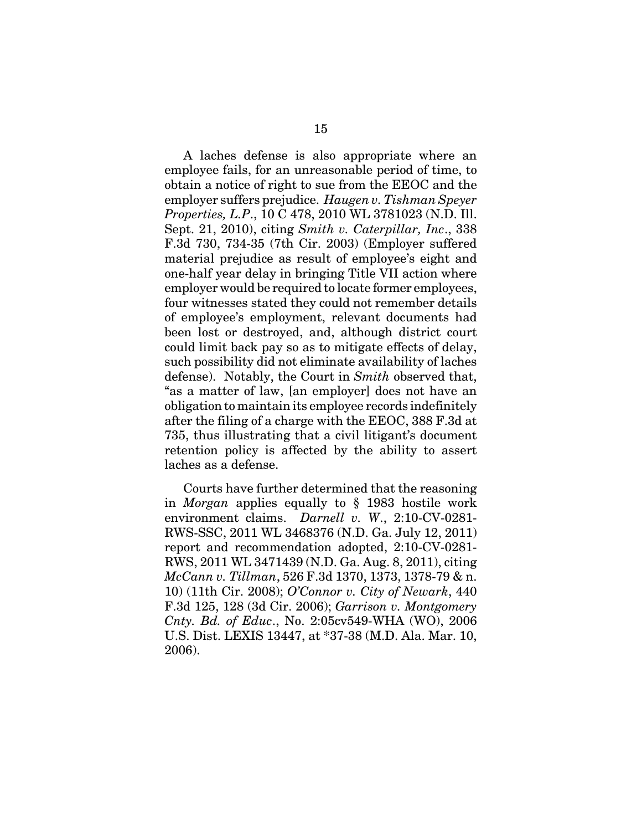A laches defense is also appropriate where an employee fails, for an unreasonable period of time, to obtain a notice of right to sue from the EEOC and the employer suffers prejudice. *Haugen v. Tishman Speyer Properties, L.P*., 10 C 478, 2010 WL 3781023 (N.D. Ill. Sept. 21, 2010), citing *Smith v. Caterpillar, Inc*., 338 F.3d 730, 734-35 (7th Cir. 2003) (Employer suffered material prejudice as result of employee's eight and one-half year delay in bringing Title VII action where employer would be required to locate former employees, four witnesses stated they could not remember details of employee's employment, relevant documents had been lost or destroyed, and, although district court could limit back pay so as to mitigate effects of delay, such possibility did not eliminate availability of laches defense). Notably, the Court in *Smith* observed that, "as a matter of law, [an employer] does not have an obligation to maintain its employee records indefinitely after the filing of a charge with the EEOC, 388 F.3d at 735, thus illustrating that a civil litigant's document retention policy is affected by the ability to assert laches as a defense.

Courts have further determined that the reasoning in *Morgan* applies equally to § 1983 hostile work environment claims. *Darnell v. W*., 2:10-CV-0281- RWS-SSC, 2011 WL 3468376 (N.D. Ga. July 12, 2011) report and recommendation adopted, 2:10-CV-0281- RWS, 2011 WL 3471439 (N.D. Ga. Aug. 8, 2011), citing *McCann v. Tillman*, 526 F.3d 1370, 1373, 1378-79 & n. 10) (11th Cir. 2008); *O'Connor v. City of Newark*, 440 F.3d 125, 128 (3d Cir. 2006); *Garrison v. Montgomery Cnty. Bd. of Educ*., No. 2:05cv549-WHA (WO), 2006 U.S. Dist. LEXIS 13447, at \*37-38 (M.D. Ala. Mar. 10, 2006).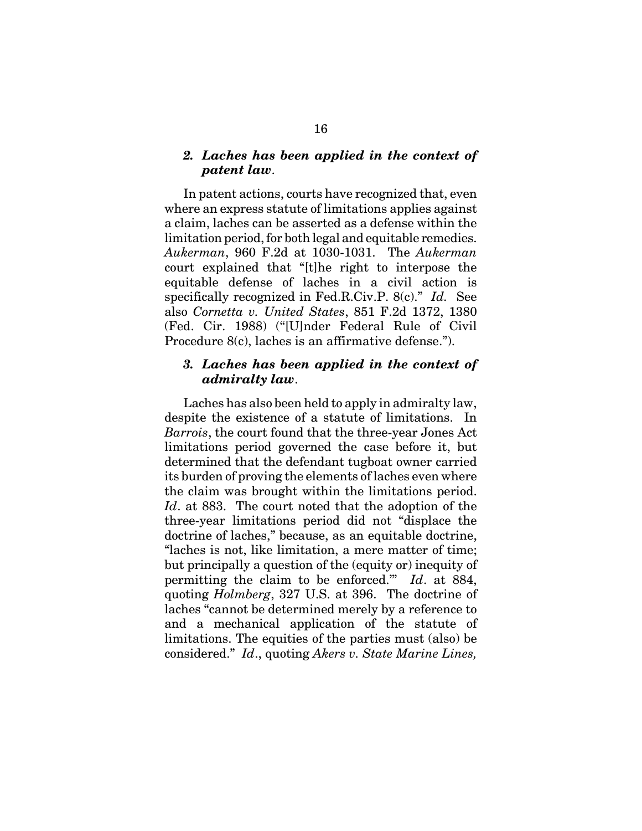#### *2. Laches has been applied in the context of patent law*.

In patent actions, courts have recognized that, even where an express statute of limitations applies against a claim, laches can be asserted as a defense within the limitation period, for both legal and equitable remedies. *Aukerman*, 960 F.2d at 1030-1031. The *Aukerman* court explained that "[t]he right to interpose the equitable defense of laches in a civil action is specifically recognized in Fed.R.Civ.P. 8(c)." *Id.* See also *Cornetta v. United States*, 851 F.2d 1372, 1380 (Fed. Cir. 1988) ("[U]nder Federal Rule of Civil Procedure 8(c), laches is an affirmative defense.").

#### *3. Laches has been applied in the context of admiralty law*.

Laches has also been held to apply in admiralty law, despite the existence of a statute of limitations. In *Barrois*, the court found that the three-year Jones Act limitations period governed the case before it, but determined that the defendant tugboat owner carried its burden of proving the elements of laches even where the claim was brought within the limitations period. *Id*. at 883. The court noted that the adoption of the three-year limitations period did not "displace the doctrine of laches," because, as an equitable doctrine, "laches is not, like limitation, a mere matter of time; but principally a question of the (equity or) inequity of permitting the claim to be enforced.'" *Id*. at 884, quoting *Holmberg*, 327 U.S. at 396. The doctrine of laches "cannot be determined merely by a reference to and a mechanical application of the statute of limitations. The equities of the parties must (also) be considered." *Id*., quoting *Akers v. State Marine Lines,*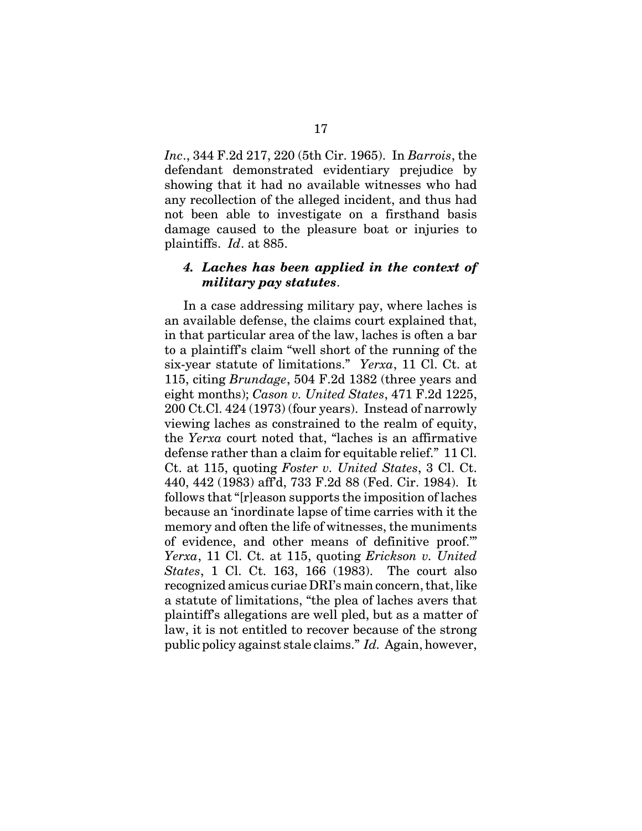*Inc*., 344 F.2d 217, 220 (5th Cir. 1965). In *Barrois*, the defendant demonstrated evidentiary prejudice by showing that it had no available witnesses who had any recollection of the alleged incident, and thus had not been able to investigate on a firsthand basis damage caused to the pleasure boat or injuries to plaintiffs. *Id*. at 885.

#### *4. Laches has been applied in the context of military pay statutes*.

In a case addressing military pay, where laches is an available defense, the claims court explained that, in that particular area of the law, laches is often a bar to a plaintiff's claim "well short of the running of the six-year statute of limitations." *Yerxa*, 11 Cl. Ct. at 115, citing *Brundage*, 504 F.2d 1382 (three years and eight months); *Cason v. United States*, 471 F.2d 1225, 200 Ct.Cl. 424 (1973) (four years). Instead of narrowly viewing laches as constrained to the realm of equity, the *Yerxa* court noted that, "laches is an affirmative defense rather than a claim for equitable relief." 11 Cl. Ct. at 115, quoting *Foster v. United States*, 3 Cl. Ct. 440, 442 (1983) aff'd, 733 F.2d 88 (Fed. Cir. 1984). It follows that "[r]eason supports the imposition of laches because an 'inordinate lapse of time carries with it the memory and often the life of witnesses, the muniments of evidence, and other means of definitive proof.'" *Yerxa*, 11 Cl. Ct. at 115, quoting *Erickson v. United States*, 1 Cl. Ct. 163, 166 (1983). The court also recognized amicus curiae DRI's main concern, that, like a statute of limitations, "the plea of laches avers that plaintiff's allegations are well pled, but as a matter of law, it is not entitled to recover because of the strong public policy against stale claims." *Id.* Again, however,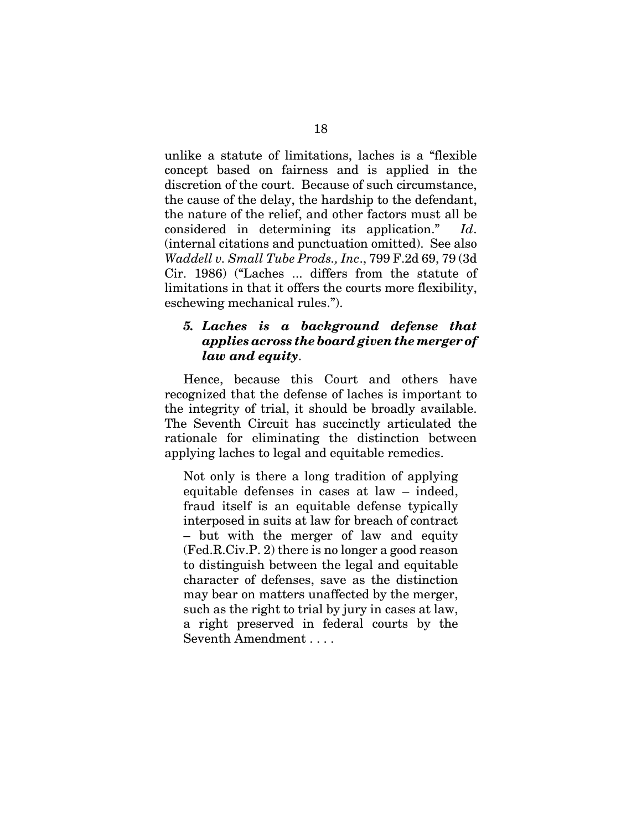unlike a statute of limitations, laches is a "flexible concept based on fairness and is applied in the discretion of the court. Because of such circumstance, the cause of the delay, the hardship to the defendant, the nature of the relief, and other factors must all be considered in determining its application." *Id*. (internal citations and punctuation omitted). See also *Waddell v. Small Tube Prods., Inc*., 799 F.2d 69, 79 (3d Cir. 1986) ("Laches ... differs from the statute of limitations in that it offers the courts more flexibility, eschewing mechanical rules.").

#### *5. Laches is a background defense that applies across the board given the merger of law and equity*.

Hence, because this Court and others have recognized that the defense of laches is important to the integrity of trial, it should be broadly available. The Seventh Circuit has succinctly articulated the rationale for eliminating the distinction between applying laches to legal and equitable remedies.

Not only is there a long tradition of applying equitable defenses in cases at law – indeed, fraud itself is an equitable defense typically interposed in suits at law for breach of contract – but with the merger of law and equity (Fed.R.Civ.P. 2) there is no longer a good reason to distinguish between the legal and equitable character of defenses, save as the distinction may bear on matters unaffected by the merger, such as the right to trial by jury in cases at law, a right preserved in federal courts by the Seventh Amendment . . . .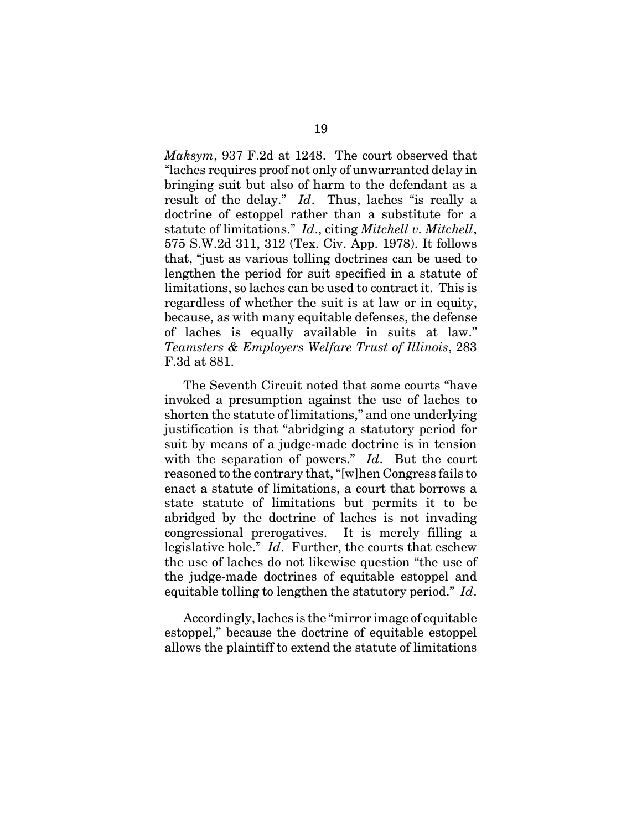*Maksym*, 937 F.2d at 1248. The court observed that "laches requires proof not only of unwarranted delay in bringing suit but also of harm to the defendant as a result of the delay." *Id*. Thus, laches "is really a doctrine of estoppel rather than a substitute for a statute of limitations." *Id*., citing *Mitchell v. Mitchell*, 575 S.W.2d 311, 312 (Tex. Civ. App. 1978). It follows that, "just as various tolling doctrines can be used to lengthen the period for suit specified in a statute of limitations, so laches can be used to contract it. This is regardless of whether the suit is at law or in equity, because, as with many equitable defenses, the defense of laches is equally available in suits at law." *Teamsters & Employers Welfare Trust of Illinois*, 283 F.3d at 881.

The Seventh Circuit noted that some courts "have invoked a presumption against the use of laches to shorten the statute of limitations," and one underlying justification is that "abridging a statutory period for suit by means of a judge-made doctrine is in tension with the separation of powers." *Id*. But the court reasoned to the contrary that, "[w]hen Congress fails to enact a statute of limitations, a court that borrows a state statute of limitations but permits it to be abridged by the doctrine of laches is not invading congressional prerogatives. It is merely filling a legislative hole." *Id*. Further, the courts that eschew the use of laches do not likewise question "the use of the judge-made doctrines of equitable estoppel and equitable tolling to lengthen the statutory period." *Id*.

Accordingly, laches is the "mirror image of equitable estoppel," because the doctrine of equitable estoppel allows the plaintiff to extend the statute of limitations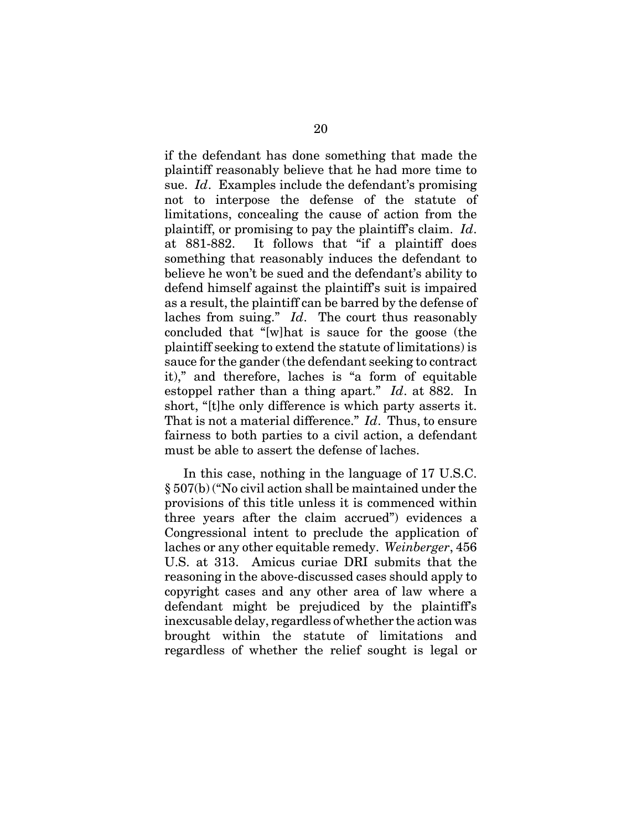if the defendant has done something that made the plaintiff reasonably believe that he had more time to sue. *Id*. Examples include the defendant's promising not to interpose the defense of the statute of limitations, concealing the cause of action from the plaintiff, or promising to pay the plaintiff's claim. *Id*. at 881-882. It follows that "if a plaintiff does something that reasonably induces the defendant to believe he won't be sued and the defendant's ability to defend himself against the plaintiff's suit is impaired as a result, the plaintiff can be barred by the defense of laches from suing." *Id*. The court thus reasonably concluded that "[w]hat is sauce for the goose (the plaintiff seeking to extend the statute of limitations) is sauce for the gander (the defendant seeking to contract it)," and therefore, laches is "a form of equitable estoppel rather than a thing apart." *Id*. at 882. In short, "[t]he only difference is which party asserts it. That is not a material difference." *Id*. Thus, to ensure fairness to both parties to a civil action, a defendant must be able to assert the defense of laches.

In this case, nothing in the language of 17 U.S.C. § 507(b) ("No civil action shall be maintained under the provisions of this title unless it is commenced within three years after the claim accrued") evidences a Congressional intent to preclude the application of laches or any other equitable remedy. *Weinberger*, 456 U.S. at 313. Amicus curiae DRI submits that the reasoning in the above-discussed cases should apply to copyright cases and any other area of law where a defendant might be prejudiced by the plaintiff's inexcusable delay, regardless of whether the action was brought within the statute of limitations and regardless of whether the relief sought is legal or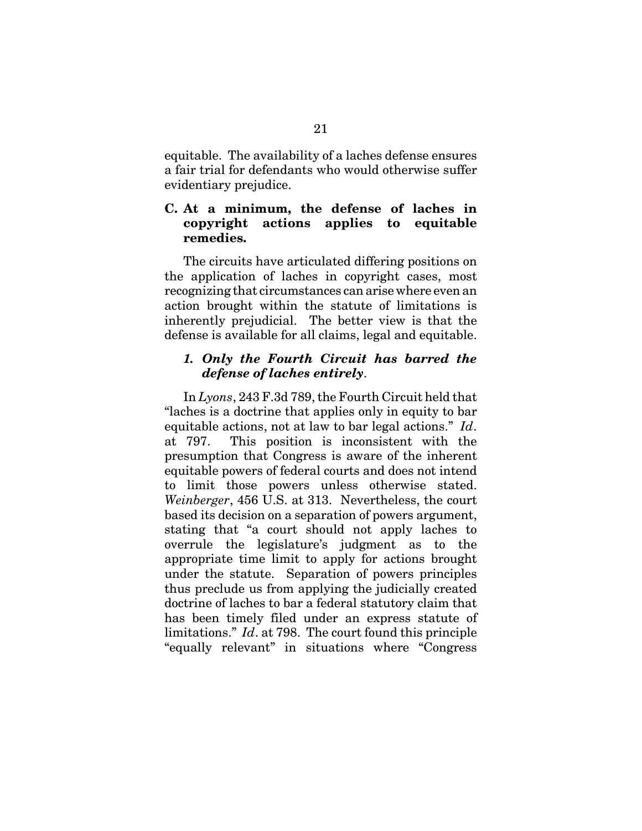equitable. The availability of a laches defense ensures a fair trial for defendants who would otherwise suffer evidentiary prejudice.

#### **C. At a minimum, the defense of laches in copyright actions applies to equitable remedies.**

The circuits have articulated differing positions on the application of laches in copyright cases, most recognizing that circumstances can arise where even an action brought within the statute of limitations is inherently prejudicial. The better view is that the defense is available for all claims, legal and equitable.

#### *1. Only the Fourth Circuit has barred the defense of laches entirely*.

In *Lyons*, 243 F.3d 789, the Fourth Circuit held that "laches is a doctrine that applies only in equity to bar equitable actions, not at law to bar legal actions." *Id*. at 797. This position is inconsistent with the presumption that Congress is aware of the inherent equitable powers of federal courts and does not intend to limit those powers unless otherwise stated. *Weinberger*, 456 U.S. at 313. Nevertheless, the court based its decision on a separation of powers argument, stating that "a court should not apply laches to overrule the legislature's judgment as to the appropriate time limit to apply for actions brought under the statute. Separation of powers principles thus preclude us from applying the judicially created doctrine of laches to bar a federal statutory claim that has been timely filed under an express statute of limitations." *Id*. at 798. The court found this principle "equally relevant" in situations where "Congress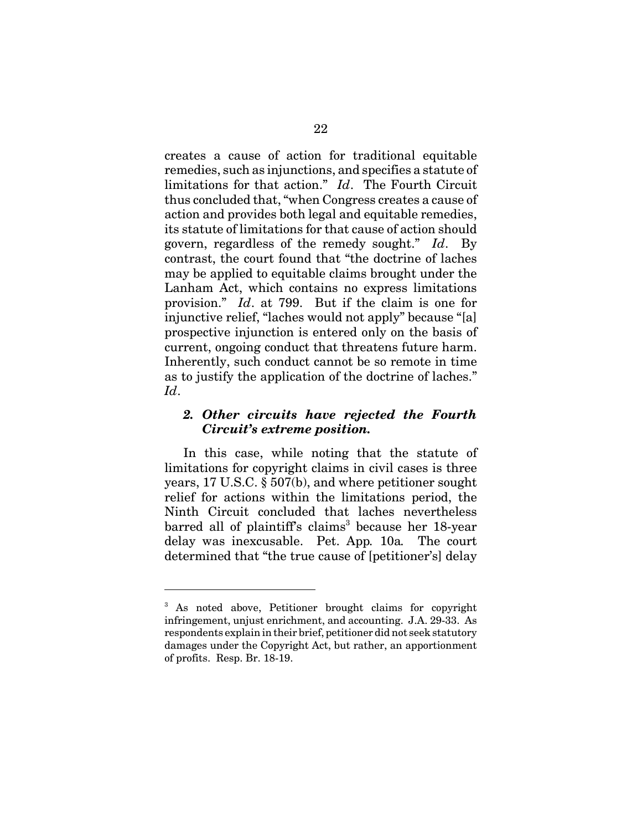creates a cause of action for traditional equitable remedies, such as injunctions, and specifies a statute of limitations for that action." *Id*. The Fourth Circuit thus concluded that, "when Congress creates a cause of action and provides both legal and equitable remedies, its statute of limitations for that cause of action should govern, regardless of the remedy sought." *Id*. By contrast, the court found that "the doctrine of laches may be applied to equitable claims brought under the Lanham Act, which contains no express limitations provision." *Id*. at 799. But if the claim is one for injunctive relief, "laches would not apply" because "[a] prospective injunction is entered only on the basis of current, ongoing conduct that threatens future harm. Inherently, such conduct cannot be so remote in time as to justify the application of the doctrine of laches." *Id*.

#### *2. Other circuits have rejected the Fourth Circuit's extreme position.*

In this case, while noting that the statute of limitations for copyright claims in civil cases is three years, 17 U.S.C. § 507(b), and where petitioner sought relief for actions within the limitations period, the Ninth Circuit concluded that laches nevertheless barred all of plaintiff's claims<sup>3</sup> because her 18-year delay was inexcusable. Pet. App*.* 10a*.* The court determined that "the true cause of [petitioner's] delay

<sup>&</sup>lt;sup>3</sup> As noted above, Petitioner brought claims for copyright infringement, unjust enrichment, and accounting. J.A. 29-33. As respondents explain in their brief, petitioner did not seek statutory damages under the Copyright Act, but rather, an apportionment of profits. Resp. Br. 18-19.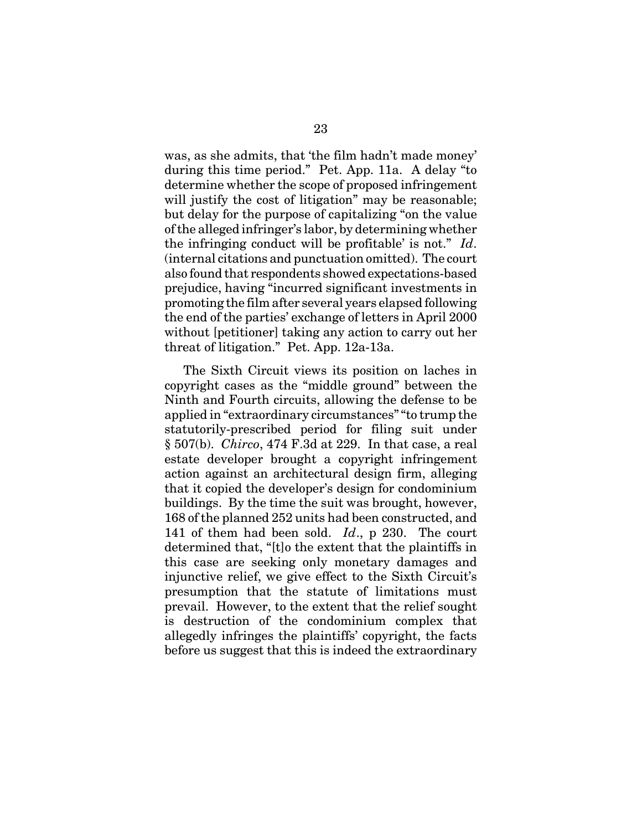was, as she admits, that 'the film hadn't made money' during this time period." Pet. App. 11a.A delay "to determine whether the scope of proposed infringement will justify the cost of litigation" may be reasonable; but delay for the purpose of capitalizing "on the value of the alleged infringer's labor, by determining whether the infringing conduct will be profitable' is not." *Id*. (internal citations and punctuation omitted). The court also found that respondents showed expectations-based prejudice, having "incurred significant investments in promoting the film after several years elapsed following the end of the parties' exchange of letters in April 2000 without [petitioner] taking any action to carry out her threat of litigation." Pet. App. 12a-13a.

The Sixth Circuit views its position on laches in copyright cases as the "middle ground" between the Ninth and Fourth circuits, allowing the defense to be applied in "extraordinary circumstances" "to trump the statutorily-prescribed period for filing suit under § 507(b). *Chirco*, 474 F.3d at 229. In that case, a real estate developer brought a copyright infringement action against an architectural design firm, alleging that it copied the developer's design for condominium buildings. By the time the suit was brought, however, 168 of the planned 252 units had been constructed, and 141 of them had been sold. *Id*., p 230. The court determined that, "[t]o the extent that the plaintiffs in this case are seeking only monetary damages and injunctive relief, we give effect to the Sixth Circuit's presumption that the statute of limitations must prevail. However, to the extent that the relief sought is destruction of the condominium complex that allegedly infringes the plaintiffs' copyright, the facts before us suggest that this is indeed the extraordinary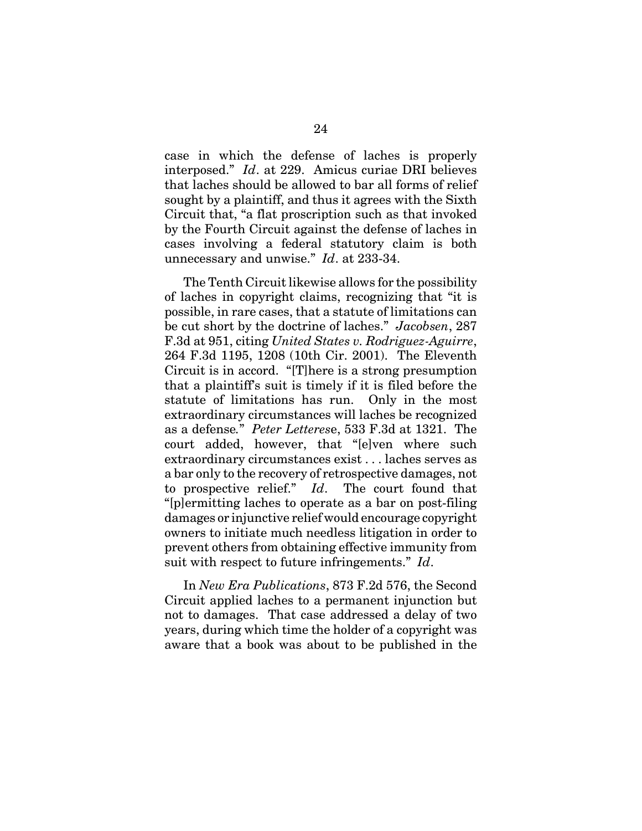case in which the defense of laches is properly interposed." *Id*. at 229. Amicus curiae DRI believes that laches should be allowed to bar all forms of relief sought by a plaintiff, and thus it agrees with the Sixth Circuit that, "a flat proscription such as that invoked by the Fourth Circuit against the defense of laches in cases involving a federal statutory claim is both unnecessary and unwise." *Id*. at 233-34.

The Tenth Circuit likewise allows for the possibility of laches in copyright claims, recognizing that "it is possible, in rare cases, that a statute of limitations can be cut short by the doctrine of laches." *Jacobsen*, 287 F.3d at 951, citing *United States v. Rodriguez-Aguirre*, 264 F.3d 1195, 1208 (10th Cir. 2001). The Eleventh Circuit is in accord. "[T]here is a strong presumption that a plaintiff's suit is timely if it is filed before the statute of limitations has run. Only in the most extraordinary circumstances will laches be recognized as a defense*.*" *Peter Letteres*e, 533 F.3d at 1321. The court added, however, that "[e]ven where such extraordinary circumstances exist . . . laches serves as a bar only to the recovery of retrospective damages, not to prospective relief." *Id*. The court found that "[p]ermitting laches to operate as a bar on post-filing damages or injunctive relief would encourage copyright owners to initiate much needless litigation in order to prevent others from obtaining effective immunity from suit with respect to future infringements." *Id*.

In *New Era Publications*, 873 F.2d 576, the Second Circuit applied laches to a permanent injunction but not to damages. That case addressed a delay of two years, during which time the holder of a copyright was aware that a book was about to be published in the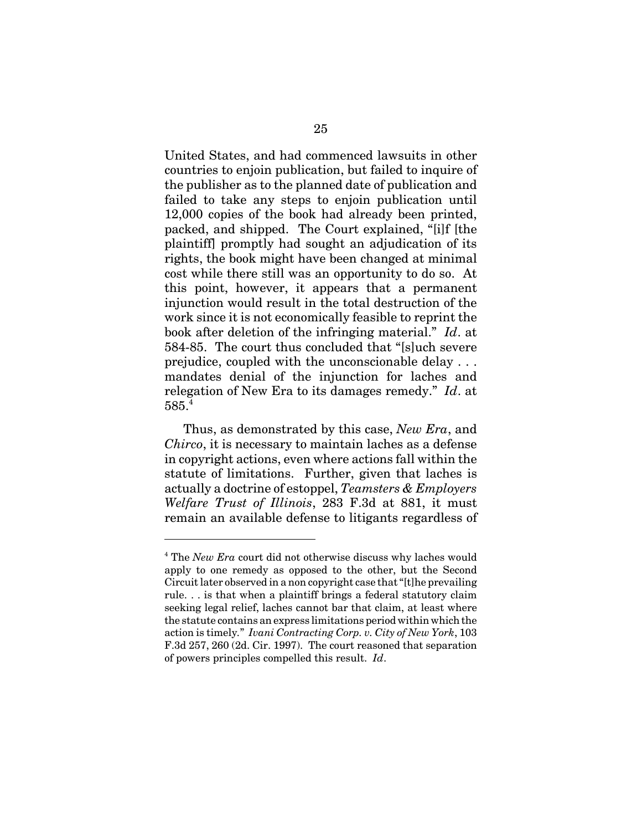United States, and had commenced lawsuits in other countries to enjoin publication, but failed to inquire of the publisher as to the planned date of publication and failed to take any steps to enjoin publication until 12,000 copies of the book had already been printed, packed, and shipped. The Court explained, "[i]f [the plaintiff] promptly had sought an adjudication of its rights, the book might have been changed at minimal cost while there still was an opportunity to do so. At this point, however, it appears that a permanent injunction would result in the total destruction of the work since it is not economically feasible to reprint the book after deletion of the infringing material." *Id*. at 584-85. The court thus concluded that "[s]uch severe prejudice, coupled with the unconscionable delay . . . mandates denial of the injunction for laches and relegation of New Era to its damages remedy." *Id*. at  $585.^4$ 

Thus, as demonstrated by this case, *New Era*, and *Chirco*, it is necessary to maintain laches as a defense in copyright actions, even where actions fall within the statute of limitations. Further, given that laches is actually a doctrine of estoppel, *Teamsters & Employers Welfare Trust of Illinois*, 283 F.3d at 881, it must remain an available defense to litigants regardless of

<sup>&</sup>lt;sup>4</sup> The *New Era* court did not otherwise discuss why laches would apply to one remedy as opposed to the other, but the Second Circuit later observed in a non copyright case that "[t]he prevailing rule. . . is that when a plaintiff brings a federal statutory claim seeking legal relief, laches cannot bar that claim, at least where the statute contains an express limitations period within which the action is timely*.*" *Ivani Contracting Corp. v. City of New York*, 103 F.3d 257, 260 (2d. Cir. 1997). The court reasoned that separation of powers principles compelled this result. *Id*.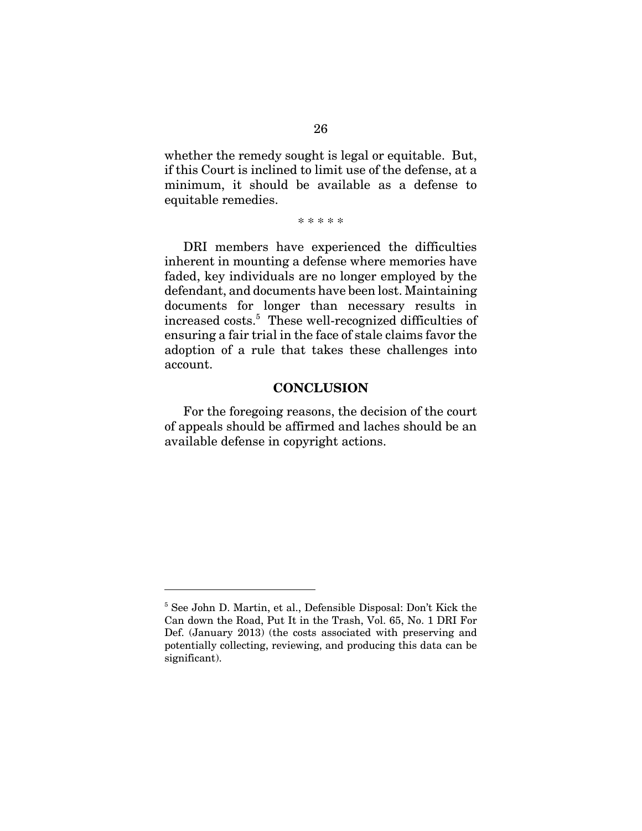whether the remedy sought is legal or equitable. But, if this Court is inclined to limit use of the defense, at a minimum, it should be available as a defense to equitable remedies.

\* \* \* \* \*

DRI members have experienced the difficulties inherent in mounting a defense where memories have faded, key individuals are no longer employed by the defendant, and documents have been lost. Maintaining documents for longer than necessary results in increased costs.<sup>5</sup> These well-recognized difficulties of ensuring a fair trial in the face of stale claims favor the adoption of a rule that takes these challenges into account.

#### **CONCLUSION**

For the foregoing reasons, the decision of the court of appeals should be affirmed and laches should be an available defense in copyright actions.

<sup>5</sup> See John D. Martin, et al., Defensible Disposal: Don't Kick the Can down the Road, Put It in the Trash, Vol. 65, No. 1 DRI For Def. (January 2013) (the costs associated with preserving and potentially collecting, reviewing, and producing this data can be significant).